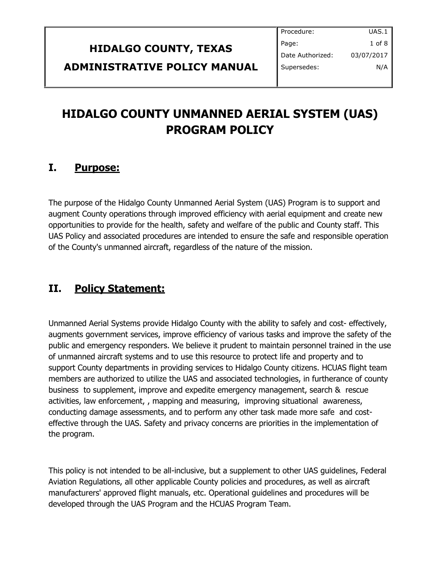|                              | Procedure:       | UAS.1 $\parallel$ |
|------------------------------|------------------|-------------------|
| <b>HIDALGO COUNTY, TEXAS</b> | Page:            | $1$ of $8$        |
|                              | Date Authorized: | 03/07/2017        |
| ADMINISTRATIVE POLICY MANUAL | Supersedes:      | N/A               |
|                              |                  |                   |

# **HIDALGO COUNTY UNMANNED AERIAL SYSTEM (UAS) PROGRAM POLICY**

### **I. Purpose:**

The purpose of the Hidalgo County Unmanned Aerial System (UAS) Program is to support and augment County operations through improved efficiency with aerial equipment and create new opportunities to provide for the health, safety and welfare of the public and County staff. This UAS Policy and associated procedures are intended to ensure the safe and responsible operation of the County's unmanned aircraft, regardless of the nature of the mission.

# **II. Policy Statement:**

Unmanned Aerial Systems provide Hidalgo County with the ability to safely and cost- effectively, augments government services, improve efficiency of various tasks and improve the safety of the public and emergency responders. We believe it prudent to maintain personnel trained in the use of unmanned aircraft systems and to use this resource to protect life and property and to support County departments in providing services to Hidalgo County citizens. HCUAS flight team members are authorized to utilize the UAS and associated technologies, in furtherance of county business to supplement, improve and expedite emergency management, search & rescue activities, law enforcement, , mapping and measuring, improving situational awareness, conducting damage assessments, and to perform any other task made more safe and costeffective through the UAS. Safety and privacy concerns are priorities in the implementation of the program.

This policy is not intended to be all-inclusive, but a supplement to other UAS guidelines, Federal Aviation Regulations, all other applicable County policies and procedures, as well as aircraft manufacturers' approved flight manuals, etc. Operational guidelines and procedures will be developed through the UAS Program and the HCUAS Program Team.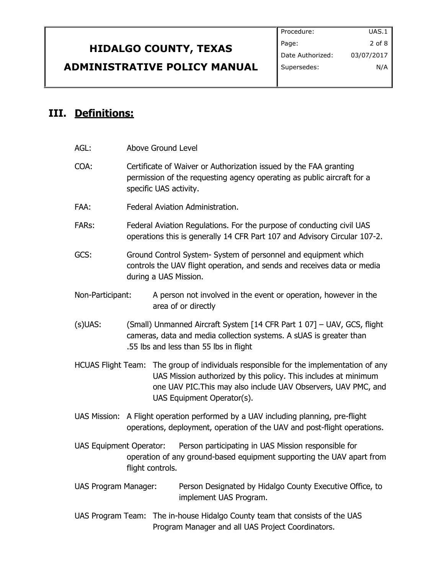|                                     | Procedure:       | UAS.1      |
|-------------------------------------|------------------|------------|
| <b>HIDALGO COUNTY, TEXAS</b>        | Page:            | $2$ of $8$ |
|                                     | Date Authorized: | 03/07/2017 |
| <b>ADMINISTRATIVE POLICY MANUAL</b> | Supersedes:      | N/A        |

# **III. Definitions:**

| AGL:                           | Above Ground Level |                        |                                                                                                                                                                                                                                                          |
|--------------------------------|--------------------|------------------------|----------------------------------------------------------------------------------------------------------------------------------------------------------------------------------------------------------------------------------------------------------|
| COA:                           |                    | specific UAS activity. | Certificate of Waiver or Authorization issued by the FAA granting<br>permission of the requesting agency operating as public aircraft for a                                                                                                              |
| FAA:                           |                    |                        | Federal Aviation Administration.                                                                                                                                                                                                                         |
| <b>FARs:</b>                   |                    |                        | Federal Aviation Regulations. For the purpose of conducting civil UAS<br>operations this is generally 14 CFR Part 107 and Advisory Circular 107-2.                                                                                                       |
| GCS:                           |                    | during a UAS Mission.  | Ground Control System- System of personnel and equipment which<br>controls the UAV flight operation, and sends and receives data or media                                                                                                                |
| Non-Participant:               |                    |                        | A person not involved in the event or operation, however in the<br>area of or directly                                                                                                                                                                   |
| $(s)$ UAS:                     |                    |                        | (Small) Unmanned Aircraft System [14 CFR Part 1 07] - UAV, GCS, flight<br>cameras, data and media collection systems. A sUAS is greater than<br>.55 lbs and less than 55 lbs in flight                                                                   |
|                                |                    |                        | HCUAS Flight Team: The group of individuals responsible for the implementation of any<br>UAS Mission authorized by this policy. This includes at minimum<br>one UAV PIC. This may also include UAV Observers, UAV PMC, and<br>UAS Equipment Operator(s). |
| <b>UAS Mission:</b>            |                    |                        | A Flight operation performed by a UAV including planning, pre-flight<br>operations, deployment, operation of the UAV and post-flight operations.                                                                                                         |
| <b>UAS Equipment Operator:</b> |                    | flight controls.       | Person participating in UAS Mission responsible for<br>operation of any ground-based equipment supporting the UAV apart from                                                                                                                             |
| <b>UAS Program Manager:</b>    |                    |                        | Person Designated by Hidalgo County Executive Office, to<br>implement UAS Program.                                                                                                                                                                       |
|                                |                    |                        | UAS Program Team: The in-house Hidalgo County team that consists of the UAS<br>Program Manager and all UAS Project Coordinators.                                                                                                                         |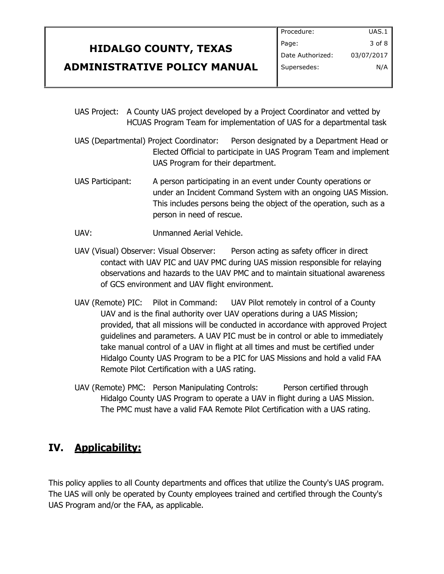|                                     | Procedure:         | UAS.1      |
|-------------------------------------|--------------------|------------|
| <b>HIDALGO COUNTY, TEXAS</b>        | Page:              | $3$ of $8$ |
|                                     | I Date Authorized: | 03/07/2017 |
| <b>ADMINISTRATIVE POLICY MANUAL</b> | Supersedes:        | N/A        |
|                                     |                    |            |

- UAS Project: A County UAS project developed by a Project Coordinator and vetted by HCUAS Program Team for implementation of UAS for a departmental task
- UAS (Departmental) Project Coordinator: Person designated by a Department Head or Elected Official to participate in UAS Program Team and implement UAS Program for their department.
- UAS Participant: A person participating in an event under County operations or under an Incident Command System with an ongoing UAS Mission. This includes persons being the object of the operation, such as a person in need of rescue.
- UAV: Unmanned Aerial Vehicle.
- UAV (Visual) Observer: Visual Observer: Person acting as safety officer in direct contact with UAV PIC and UAV PMC during UAS mission responsible for relaying observations and hazards to the UAV PMC and to maintain situational awareness of GCS environment and UAV flight environment.
- UAV (Remote) PIC: Pilot in Command: UAV Pilot remotely in control of a County UAV and is the final authority over UAV operations during a UAS Mission; provided, that all missions will be conducted in accordance with approved Project guidelines and parameters. A UAV PIC must be in control or able to immediately take manual control of a UAV in flight at all times and must be certified under Hidalgo County UAS Program to be a PIC for UAS Missions and hold a valid FAA Remote Pilot Certification with a UAS rating.
- UAV (Remote) PMC: Person Manipulating Controls: Person certified through Hidalgo County UAS Program to operate a UAV in flight during a UAS Mission. The PMC must have a valid FAA Remote Pilot Certification with a UAS rating.

# **IV. Applicability:**

This policy applies to all County departments and offices that utilize the County's UAS program. The UAS will only be operated by County employees trained and certified through the County's UAS Program and/or the FAA, as applicable.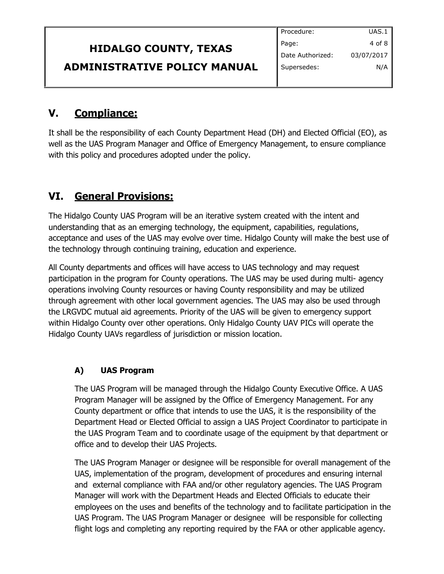|                                     | Procedure:       | UAS.1      |
|-------------------------------------|------------------|------------|
| <b>HIDALGO COUNTY, TEXAS</b>        | Page:            | 4 of 8 l   |
|                                     | Date Authorized: | 03/07/2017 |
| <b>ADMINISTRATIVE POLICY MANUAL</b> | Supersedes:      | N/A        |
|                                     |                  |            |

## **V. Compliance:**

It shall be the responsibility of each County Department Head (DH) and Elected Official (EO), as well as the UAS Program Manager and Office of Emergency Management, to ensure compliance with this policy and procedures adopted under the policy.

# **VI. General Provisions:**

The Hidalgo County UAS Program will be an iterative system created with the intent and understanding that as an emerging technology, the equipment, capabilities, regulations, acceptance and uses of the UAS may evolve over time. Hidalgo County will make the best use of the technology through continuing training, education and experience.

All County departments and offices will have access to UAS technology and may request participation in the program for County operations. The UAS may be used during multi- agency operations involving County resources or having County responsibility and may be utilized through agreement with other local government agencies. The UAS may also be used through the LRGVDC mutual aid agreements. Priority of the UAS will be given to emergency support within Hidalgo County over other operations. Only Hidalgo County UAV PICs will operate the Hidalgo County UAVs regardless of jurisdiction or mission location.

### **A) UAS Program**

The UAS Program will be managed through the Hidalgo County Executive Office. A UAS Program Manager will be assigned by the Office of Emergency Management. For any County department or office that intends to use the UAS, it is the responsibility of the Department Head or Elected Official to assign a UAS Project Coordinator to participate in the UAS Program Team and to coordinate usage of the equipment by that department or office and to develop their UAS Projects.

The UAS Program Manager or designee will be responsible for overall management of the UAS, implementation of the program, development of procedures and ensuring internal and external compliance with FAA and/or other regulatory agencies. The UAS Program Manager will work with the Department Heads and Elected Officials to educate their employees on the uses and benefits of the technology and to facilitate participation in the UAS Program. The UAS Program Manager or designee will be responsible for collecting flight logs and completing any reporting required by the FAA or other applicable agency.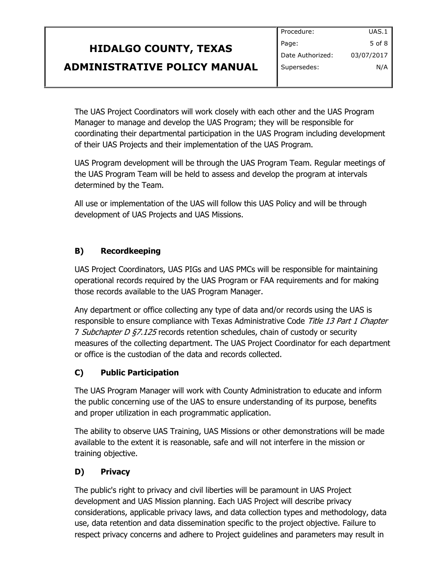# **HIDALGO COUNTY, TEXAS ADMINISTRATIVE POLICY MANUAL**

The UAS Project Coordinators will work closely with each other and the UAS Program Manager to manage and develop the UAS Program; they will be responsible for coordinating their departmental participation in the UAS Program including development of their UAS Projects and their implementation of the UAS Program.

UAS Program development will be through the UAS Program Team. Regular meetings of the UAS Program Team will be held to assess and develop the program at intervals determined by the Team.

All use or implementation of the UAS will follow this UAS Policy and will be through development of UAS Projects and UAS Missions.

### **B) Recordkeeping**

UAS Project Coordinators, UAS PIGs and UAS PMCs will be responsible for maintaining operational records required by the UAS Program or FAA requirements and for making those records available to the UAS Program Manager.

Any department or office collecting any type of data and/or records using the UAS is responsible to ensure compliance with Texas Administrative Code Title 13 Part 1 Chapter 7 Subchapter D  $\frac{67.125}{2}$  records retention schedules, chain of custody or security measures of the collecting department. The UAS Project Coordinator for each department or office is the custodian of the data and records collected.

### **C) Public Participation**

The UAS Program Manager will work with County Administration to educate and inform the public concerning use of the UAS to ensure understanding of its purpose, benefits and proper utilization in each programmatic application.

The ability to observe UAS Training, UAS Missions or other demonstrations will be made available to the extent it is reasonable, safe and will not interfere in the mission or training objective.

### **D) Privacy**

The public's right to privacy and civil liberties will be paramount in UAS Project development and UAS Mission planning. Each UAS Project will describe privacy considerations, applicable privacy laws, and data collection types and methodology, data use, data retention and data dissemination specific to the project objective. Failure to respect privacy concerns and adhere to Project guidelines and parameters may result in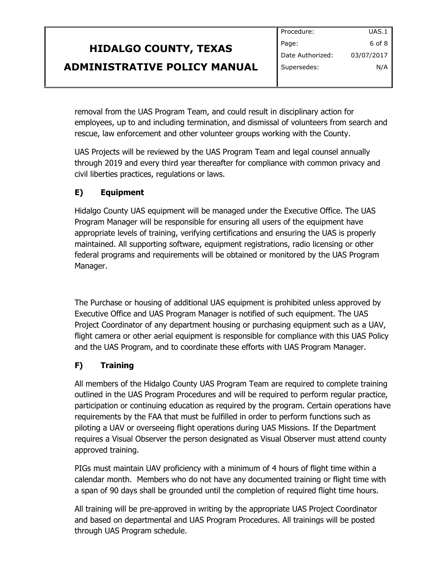|                                     | Procedure:       | UAS.1      |
|-------------------------------------|------------------|------------|
| <b>HIDALGO COUNTY, TEXAS</b>        | Page:            | 6 of 8     |
|                                     | Date Authorized: | 03/07/2017 |
| <b>ADMINISTRATIVE POLICY MANUAL</b> | Supersedes:      | N/A        |
|                                     |                  |            |

removal from the UAS Program Team, and could result in disciplinary action for employees, up to and including termination, and dismissal of volunteers from search and rescue, law enforcement and other volunteer groups working with the County.

UAS Projects will be reviewed by the UAS Program Team and legal counsel annually through 2019 and every third year thereafter for compliance with common privacy and civil liberties practices, regulations or laws.

#### **E) Equipment**

Hidalgo County UAS equipment will be managed under the Executive Office. The UAS Program Manager will be responsible for ensuring all users of the equipment have appropriate levels of training, verifying certifications and ensuring the UAS is properly maintained. All supporting software, equipment registrations, radio licensing or other federal programs and requirements will be obtained or monitored by the UAS Program Manager.

The Purchase or housing of additional UAS equipment is prohibited unless approved by Executive Office and UAS Program Manager is notified of such equipment. The UAS Project Coordinator of any department housing or purchasing equipment such as a UAV, flight camera or other aerial equipment is responsible for compliance with this UAS Policy and the UAS Program, and to coordinate these efforts with UAS Program Manager.

#### **F) Training**

All members of the Hidalgo County UAS Program Team are required to complete training outlined in the UAS Program Procedures and will be required to perform regular practice, participation or continuing education as required by the program. Certain operations have requirements by the FAA that must be fulfilled in order to perform functions such as piloting a UAV or overseeing flight operations during UAS Missions. If the Department requires a Visual Observer the person designated as Visual Observer must attend county approved training.

PIGs must maintain UAV proficiency with a minimum of 4 hours of flight time within a calendar month. Members who do not have any documented training or flight time with a span of 90 days shall be grounded until the completion of required flight time hours.

All training will be pre-approved in writing by the appropriate UAS Project Coordinator and based on departmental and UAS Program Procedures. All trainings will be posted through UAS Program schedule.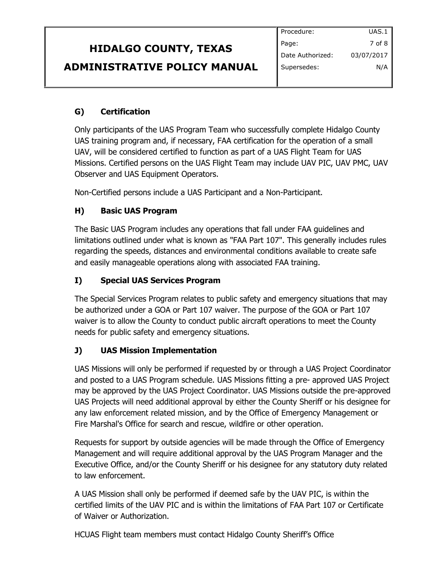|                                     | Procedure:       | UAS.1        |
|-------------------------------------|------------------|--------------|
| <b>HIDALGO COUNTY, TEXAS</b>        | Page:            | $7$ of 8 $ $ |
|                                     | Date Authorized: | 03/07/2017   |
| <b>ADMINISTRATIVE POLICY MANUAL</b> | Supersedes:      | N/A          |
|                                     |                  |              |

### **G) Certification**

Only participants of the UAS Program Team who successfully complete Hidalgo County UAS training program and, if necessary, FAA certification for the operation of a small UAV, will be considered certified to function as part of a UAS Flight Team for UAS Missions. Certified persons on the UAS Flight Team may include UAV PIC, UAV PMC, UAV Observer and UAS Equipment Operators.

Non-Certified persons include a UAS Participant and a Non-Participant.

#### **H) Basic UAS Program**

The Basic UAS Program includes any operations that fall under FAA guidelines and limitations outlined under what is known as "FAA Part 107". This generally includes rules regarding the speeds, distances and environmental conditions available to create safe and easily manageable operations along with associated FAA training.

#### **I) Special UAS Services Program**

The Special Services Program relates to public safety and emergency situations that may be authorized under a GOA or Part 107 waiver. The purpose of the GOA or Part 107 waiver is to allow the County to conduct public aircraft operations to meet the County needs for public safety and emergency situations.

#### **J) UAS Mission Implementation**

UAS Missions will only be performed if requested by or through a UAS Project Coordinator and posted to a UAS Program schedule. UAS Missions fitting a pre- approved UAS Project may be approved by the UAS Project Coordinator. UAS Missions outside the pre-approved UAS Projects will need additional approval by either the County Sheriff or his designee for any law enforcement related mission, and by the Office of Emergency Management or Fire Marshal's Office for search and rescue, wildfire or other operation.

Requests for support by outside agencies will be made through the Office of Emergency Management and will require additional approval by the UAS Program Manager and the Executive Office, and/or the County Sheriff or his designee for any statutory duty related to law enforcement.

A UAS Mission shall only be performed if deemed safe by the UAV PIC, is within the certified limits of the UAV PIC and is within the limitations of FAA Part 107 or Certificate of Waiver or Authorization.

HCUAS Flight team members must contact Hidalgo County Sheriff's Office